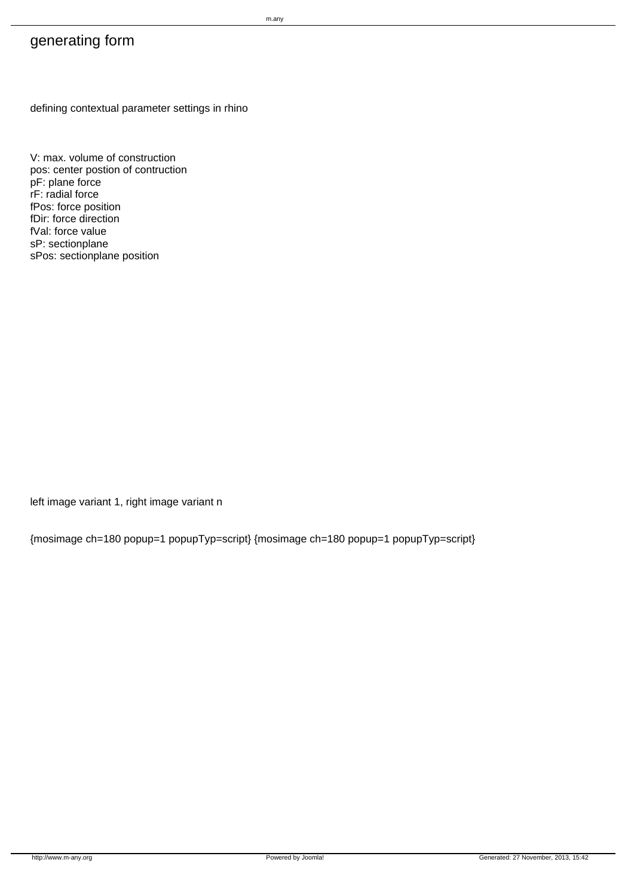## generating form

defining contextual parameter settings in rhino

V: max. volume of construction pos: center postion of contruction pF: plane force rF: radial force fPos: force position fDir: force direction fVal: force value sP: sectionplane sPos: sectionplane position

left image variant 1, right image variant n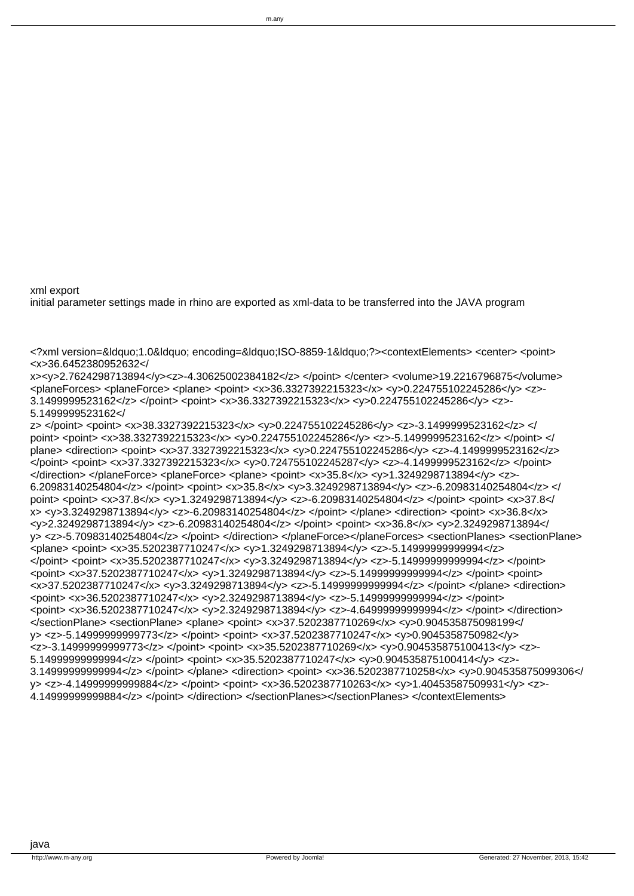point> <point> <x>38.3327392215323</x> <y>0.224755102245286</y> <z>-5.1499999523162</z> </point> </ plane> <direction> <point> <x>37.3327392215323</x> <y>0.224755102245286</y> <z>-4.1499999523162</z> </point> <point> <x>37.3327392215323</x> <y>0.724755102245287</y> <z>-4.1499999523162</z> </point> </direction> </planeForce> <planeForce> <plane> <point> <x>35.8</x> <y>1.3249298713894</y> <z>-6.20983140254804</z> </point> <point> <x>35.8</x> <y>3.3249298713894</y> <z>-6.20983140254804</z> </ point> <point> <x>37.8</x> <y>1.3249298713894</y> <z>-6.20983140254804</z> </point> <point> <x>37.8</ x> <y>3.3249298713894</y> <z>-6.20983140254804</z> </point> </plane> <direction> <point> <x>36.8</x> <y>2.3249298713894</y> <z>-6.20983140254804</z> </point> <point> <x>36.8</x> <y>2.3249298713894</ y> <z>-5.70983140254804</z> </point> </direction> </planeForce></planeForces> <sectionPlanes> <sectionPlane> <plane> <point> <x>35.5202387710247</x> <y>1.3249298713894</y> <z>-5.14999999999994</z> </point> <point> <x>35.5202387710247</x> <y>3.3249298713894</y> <z>-5.14999999999994</z> </point> <point> <x>37.5202387710247</x> <y>1.3249298713894</y> <z>-5.14999999999994</z> </point> <point> <x>37.5202387710247</x> <y>3.3249298713894</y> <z>-5.14999999999994</z> </point> </plane> <direction> <point> <x>36.5202387710247</x> <y>2.3249298713894</y> <z>-5.14999999999994</z> </point> <point> <x>36.5202387710247</x> <y>2.3249298713894</y> <z>-4.64999999999994</z> </point> </direction> </sectionPlane> <sectionPlane> <plane> <point> <x>37.5202387710269</x> <y>0.904535875098199</ y> <z>-5.14999999999773</z> </point> <point> <x>37.5202387710247</x> <y>0.9045358750982</y> <z>-3.14999999999773</z> </point> <point> <x>35.5202387710269</x> <y>0.904535875100413</y> <z>- 5.14999999999994</z> </point> <point> <x>35.5202387710247</x> <y>0.904535875100414</y> <z>- 3.14999999999994</z> </point> </plane> <direction> <point> <x>36.5202387710258</x> <y>0.904535875099306</ y> <z>-4.14999999999884</z> </point> <point> <x>36.5202387710263</x> <y>1.40453587509931</y> <z>- 4.14999999999884</z> </point> </direction> </sectionPlanes></sectionPlanes> </contextElements>

<x>36.6452380952632</ x><y>2.7624298713894</y><z>-4.30625002384182</z> </point> </center> <volume>19.2216796875</volume> <planeForces> <planeForce> <plane> <point> <x>36.3327392215323</x> <v>0.224755102245286</v> <z>-3.1499999523162</z> </point> <point> <x>36.3327392215323</x> <y>0.224755102245286</y> <z>- 5.1499999523162</

z> </point> <point> <x>38.3327392215323</x> <y>0.224755102245286</y> <z>-3.1499999523162</z> </

<?xml version=&ldquo;1.0&ldquo; encoding=&ldquo;ISO-8859-1&ldquo;?><contextElements> <center> <point>

xml export initial parameter settings made in rhino are exported as xml-data to be transferred into the JAVA program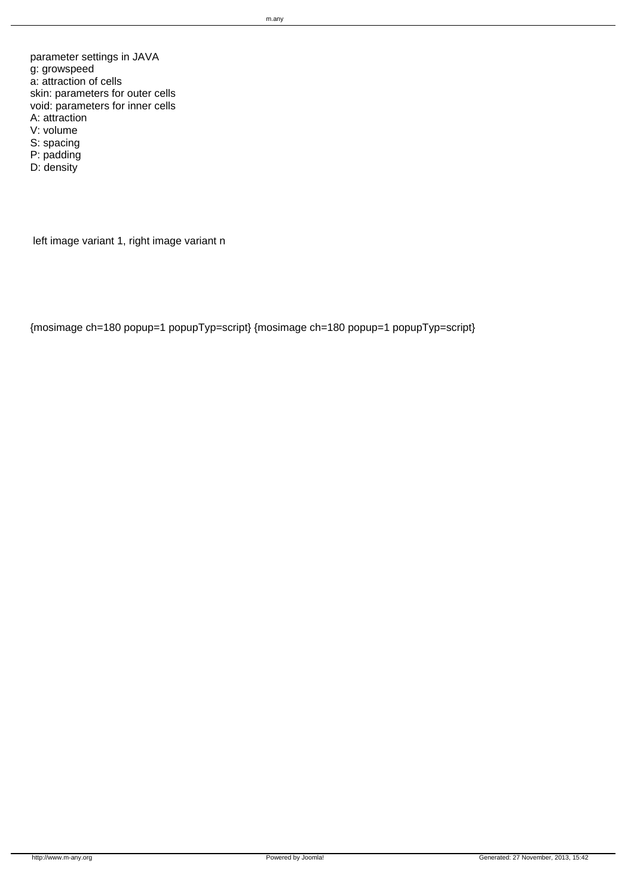parameter settings in JAVA g: growspeed a: attraction of cells skin: parameters for outer cells void: parameters for inner cells A: attraction V: volume S: spacing P: padding D: density

left image variant 1, right image variant n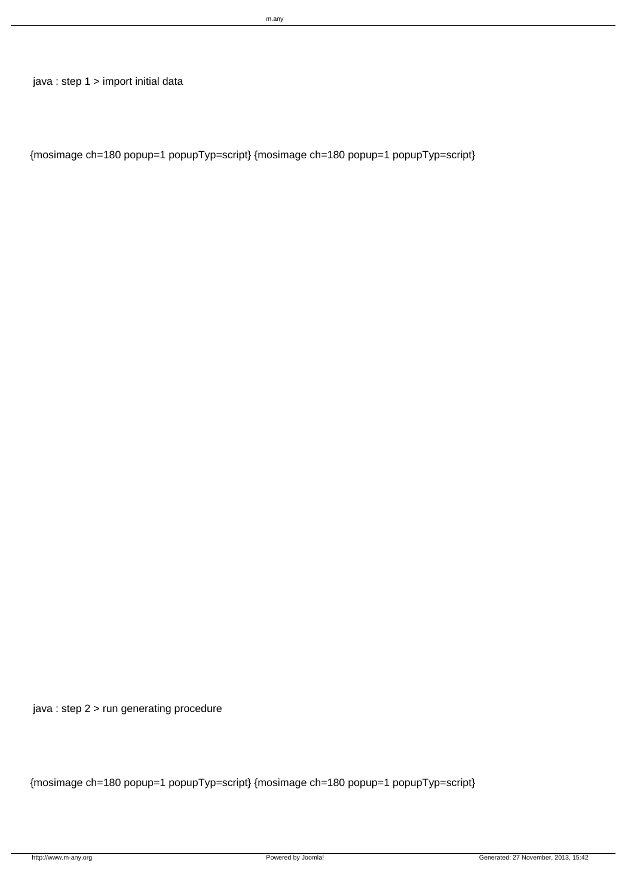java : step 1 > import initial data

{mosimage ch=180 popup=1 popupTyp=script} {mosimage ch=180 popup=1 popupTyp=script}

java : step 2 > run generating procedure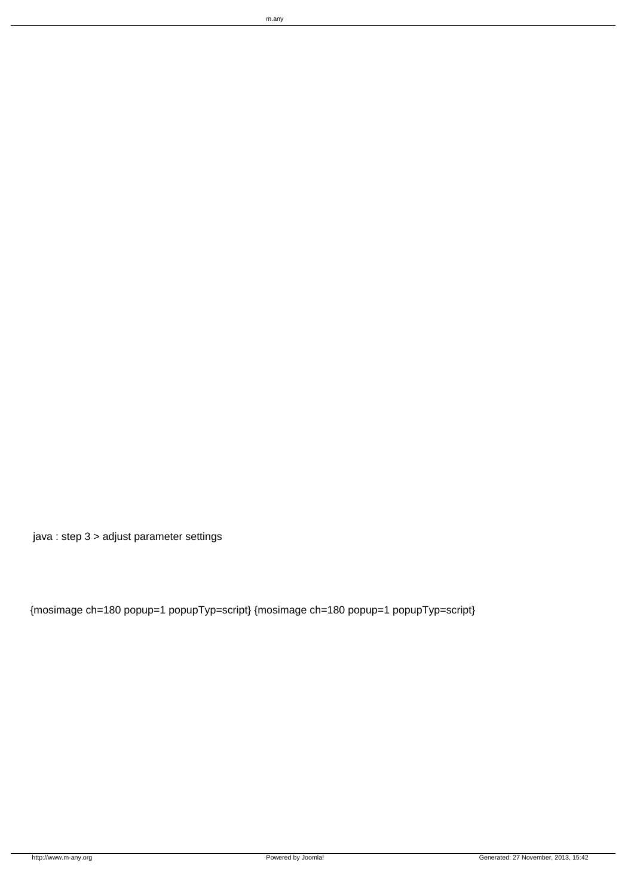java : step 3 > adjust parameter settings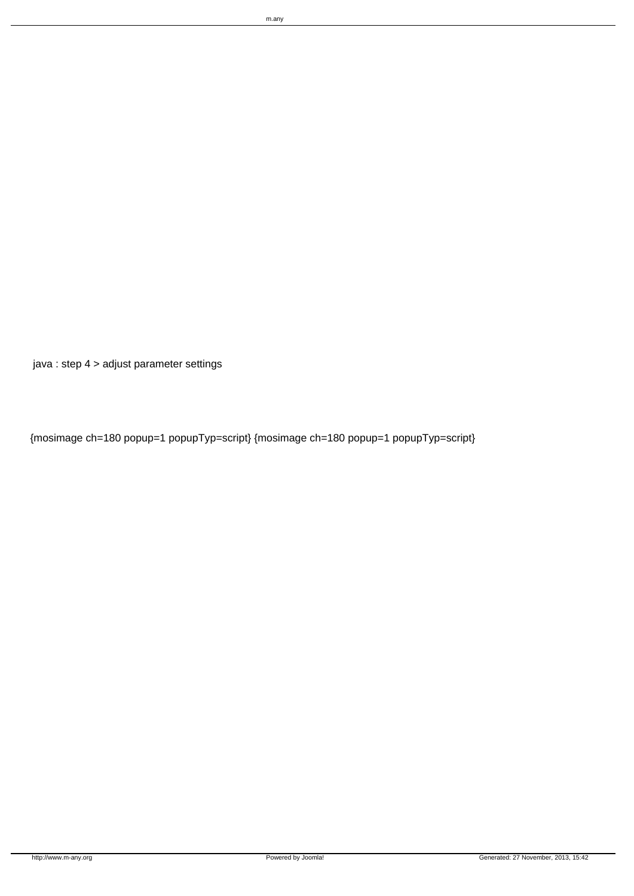{mosimage ch=180 popup=1 popupTyp=script} {mosimage ch=180 popup=1 popupTyp=script}

java : step 4 > adjust parameter settings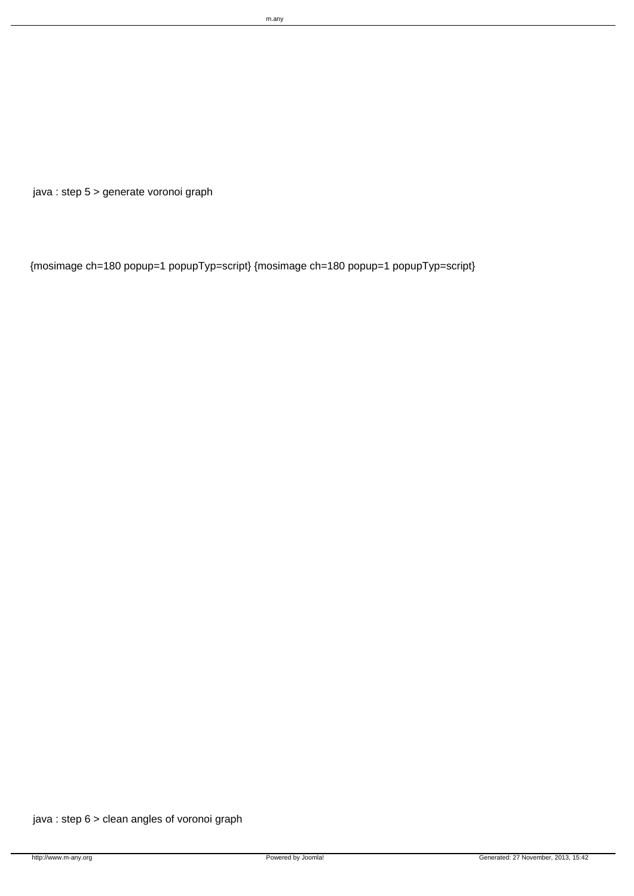java : step 5 > generate voronoi graph

{mosimage ch=180 popup=1 popupTyp=script} {mosimage ch=180 popup=1 popupTyp=script}

java : step 6 > clean angles of voronoi graph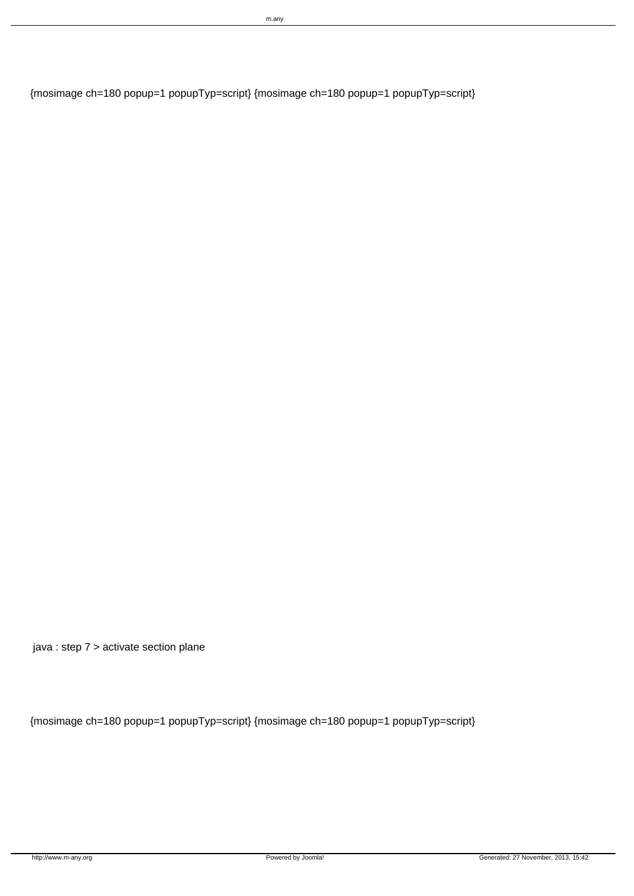{mosimage ch=180 popup=1 popupTyp=script} {mosimage ch=180 popup=1 popupTyp=script}

java : step 7 > activate section plane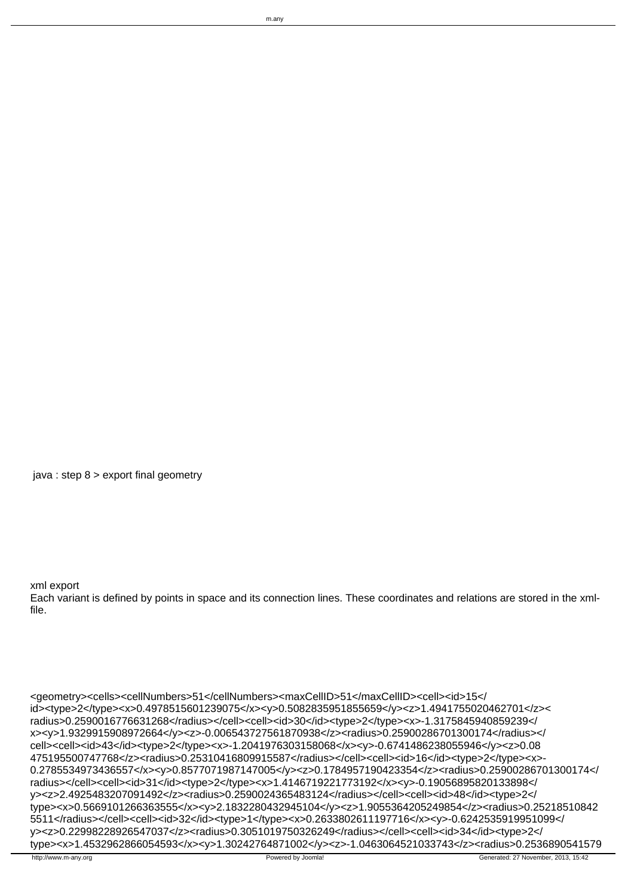Each variant is defined by points in space and its connection lines. These coordinates and relations are stored in the xmlfile.

m.any

<geometry><cells><cellNumbers>51</cellNumbers><maxCellID>51</maxCellID><cell><id>15</ id><type>2</type><x>0.4978515601239075</x><y>0.5082835951855659</y><z>1.4941755020462701</z>< radius>0.2590016776631268</radius></cell><cell><id>30</id><type>2</type><x>-1.3175845940859239</ x><y>1.9329915908972664</y><z>-0.006543727561870938</z><radius>0.25900286701300174</radius></ cell><cell><id>43</id><type>2</type><x>-1.2041976303158068</x><y>-0.6741486238055946</y><z>0.08 475195500747768</z><radius>0.25310416809915587</radius></cell><cell><id>16</id><type>2</type><x>- 0.2785534973436557</x><y>0.8577071987147005</y><z>0.1784957190423354</z><radius>0.25900286701300174</ radius></cell><cell><id>31</id><type>2</type><x>1.4146719221773192</x><y>-0.19056895820133898</ y><z>2.4925483207091492</z><radius>0.2590024365483124</radius></cell><cell><id>48</id><type>2</ type><x>0.5669101266363555</x><y>2.1832280432945104</y><z>1.9055364205249854</z><radius>0.25218510842 5511</radius></cell><cell><id>32</id><type>1</type><x>0.2633802611197716</x><y>-0.6242535919951099</ y><z>0.22998228926547037</z><radius>0.3051019750326249</radius></cell><cell><id>34</id><type>2</ type><x>1.4532962866054593</x><y>1.30242764871002</y><z>-1.0463064521033743</z><radius>0.2536890541579